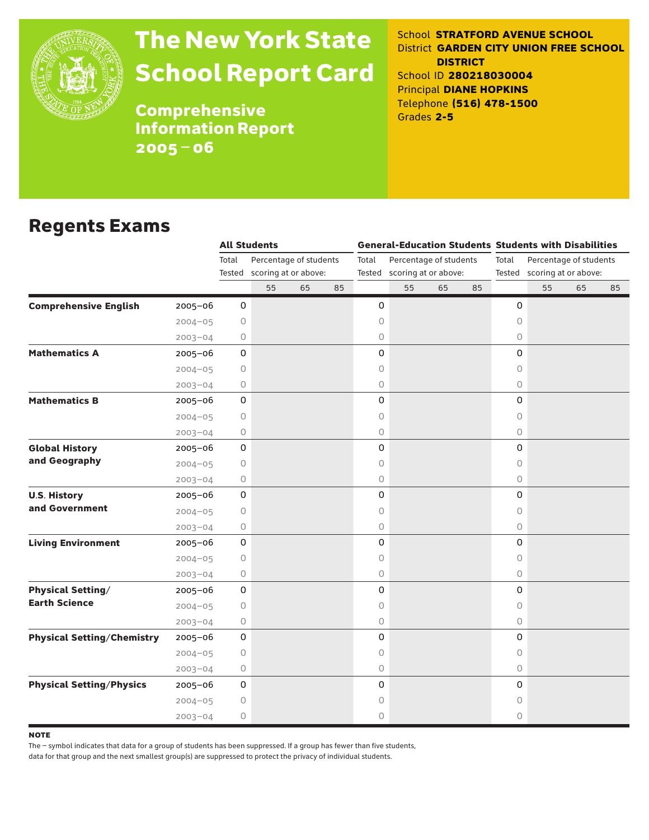

# The New York State School Report Card

School **STRATFORD AVENUE SCHOOL** District **GARDEN CITY UNION FREE SCHOOL DISTRICT** School ID **280218030004** Principal **DIANE HOPKINS** Telephone **(516) 478-1500** Grades **2-5**

**Comprehensive** Information Report 2005–06

### Regents Exams

|                                   |             |                     | <b>All Students</b>                            |    |    | <b>General-Education Students Students with Disabilities</b> |                                                       |    |    |                                                                |    |    |    |  |
|-----------------------------------|-------------|---------------------|------------------------------------------------|----|----|--------------------------------------------------------------|-------------------------------------------------------|----|----|----------------------------------------------------------------|----|----|----|--|
|                                   |             | Total<br>Tested     | Percentage of students<br>scoring at or above: |    |    | Total                                                        | Percentage of students<br>Tested scoring at or above: |    |    | Total<br>Percentage of students<br>Tested scoring at or above: |    |    |    |  |
|                                   |             |                     | 55                                             | 65 | 85 |                                                              | 55                                                    | 65 | 85 |                                                                | 55 | 65 | 85 |  |
| <b>Comprehensive English</b>      | $2005 - 06$ | $\mathbf 0$         |                                                |    |    | 0                                                            |                                                       |    |    | 0                                                              |    |    |    |  |
|                                   | $2004 - 05$ | 0                   |                                                |    |    | 0                                                            |                                                       |    |    | 0                                                              |    |    |    |  |
|                                   | $2003 - 04$ | 0                   |                                                |    |    | 0                                                            |                                                       |    |    | 0                                                              |    |    |    |  |
| <b>Mathematics A</b>              | $2005 - 06$ | 0                   |                                                |    |    | 0                                                            |                                                       |    |    | 0                                                              |    |    |    |  |
|                                   | $2004 - 05$ | 0                   |                                                |    |    | 0                                                            |                                                       |    |    | 0                                                              |    |    |    |  |
|                                   | $2003 - 04$ | 0                   |                                                |    |    | $\bigcirc$                                                   |                                                       |    |    | $\circ$                                                        |    |    |    |  |
| <b>Mathematics B</b>              | $2005 - 06$ | 0                   |                                                |    |    | 0                                                            |                                                       |    |    | 0                                                              |    |    |    |  |
|                                   | $2004 - 05$ | 0                   |                                                |    |    | 0                                                            |                                                       |    |    | 0                                                              |    |    |    |  |
|                                   | $2003 - 04$ | 0                   |                                                |    |    | 0                                                            |                                                       |    |    | $\circ$                                                        |    |    |    |  |
| <b>Global History</b>             | 2005-06     | 0                   |                                                |    |    | 0                                                            |                                                       |    |    | 0                                                              |    |    |    |  |
| and Geography                     | $2004 - 05$ | 0                   |                                                |    |    | 0                                                            |                                                       |    |    | 0                                                              |    |    |    |  |
|                                   | $2003 - 04$ | 0                   |                                                |    |    | 0                                                            |                                                       |    |    | $\circ$                                                        |    |    |    |  |
| <b>U.S. History</b>               | $2005 - 06$ | 0                   |                                                |    |    | 0                                                            |                                                       |    |    | 0                                                              |    |    |    |  |
| and Government                    | $2004 - 05$ | 0                   |                                                |    |    | 0                                                            |                                                       |    |    | 0                                                              |    |    |    |  |
|                                   | $2003 - 04$ | 0                   |                                                |    |    | 0                                                            |                                                       |    |    | $\circ$                                                        |    |    |    |  |
| <b>Living Environment</b>         | $2005 - 06$ | $\mathsf O$         |                                                |    |    | 0                                                            |                                                       |    |    | 0                                                              |    |    |    |  |
|                                   | $2004 - 05$ | $\circ$             |                                                |    |    | $\bigcirc$                                                   |                                                       |    |    | 0                                                              |    |    |    |  |
|                                   | $2003 - 04$ | 0                   |                                                |    |    | 0                                                            |                                                       |    |    | $\circ$                                                        |    |    |    |  |
| <b>Physical Setting/</b>          | 2005-06     | $\mathsf{O}\xspace$ |                                                |    |    | 0                                                            |                                                       |    |    | 0                                                              |    |    |    |  |
| <b>Earth Science</b>              | $2004 - 05$ | 0                   |                                                |    |    | $\mathsf O$                                                  |                                                       |    |    | 0                                                              |    |    |    |  |
|                                   | $2003 - 04$ | 0                   |                                                |    |    | $\bigcirc$                                                   |                                                       |    |    | $\circ$                                                        |    |    |    |  |
| <b>Physical Setting/Chemistry</b> | $2005 - 06$ | 0                   |                                                |    |    | 0                                                            |                                                       |    |    | 0                                                              |    |    |    |  |
|                                   | $2004 - 05$ | 0                   |                                                |    |    | $\bigcirc$                                                   |                                                       |    |    | 0                                                              |    |    |    |  |
|                                   | $2003 - 04$ | 0                   |                                                |    |    | $\bigcirc$                                                   |                                                       |    |    | 0                                                              |    |    |    |  |
| <b>Physical Setting/Physics</b>   | $2005 - 06$ | 0                   |                                                |    |    | 0                                                            |                                                       |    |    | 0                                                              |    |    |    |  |
|                                   | $2004 - 05$ | $\circ$             |                                                |    |    | 0                                                            |                                                       |    |    | 0                                                              |    |    |    |  |
|                                   | $2003 - 04$ | 0                   |                                                |    |    | 0                                                            |                                                       |    |    | 0                                                              |    |    |    |  |

**NOTE** 

The – symbol indicates that data for a group of students has been suppressed. If a group has fewer than five students,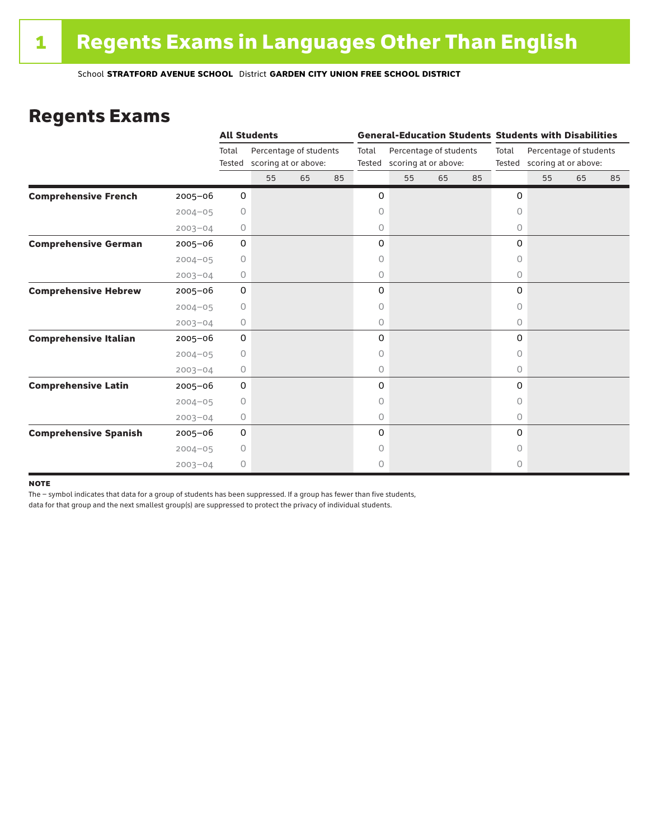### Regents Exams

|                              |             |                 | <b>All Students</b>                            |    |                                                                   |   | <b>General-Education Students Students with Disabilities</b> |       |                                                       |           |    |    |    |  |
|------------------------------|-------------|-----------------|------------------------------------------------|----|-------------------------------------------------------------------|---|--------------------------------------------------------------|-------|-------------------------------------------------------|-----------|----|----|----|--|
|                              |             | Total<br>Tested | Percentage of students<br>scoring at or above: |    | Percentage of students<br>Total<br>scoring at or above:<br>Tested |   |                                                              | Total | Percentage of students<br>Tested scoring at or above: |           |    |    |    |  |
|                              |             |                 | 55                                             | 65 | 85                                                                |   | 55                                                           | 65    | 85                                                    |           | 55 | 65 | 85 |  |
| <b>Comprehensive French</b>  | $2005 - 06$ | 0               |                                                |    |                                                                   | 0 |                                                              |       |                                                       | 0         |    |    |    |  |
|                              | $2004 - 05$ | 0               |                                                |    |                                                                   | 0 |                                                              |       |                                                       | $\circ$   |    |    |    |  |
|                              | $2003 - 04$ | 0               |                                                |    |                                                                   | 0 |                                                              |       |                                                       | 0         |    |    |    |  |
| <b>Comprehensive German</b>  | $2005 - 06$ | 0               |                                                |    |                                                                   | 0 |                                                              |       |                                                       | 0         |    |    |    |  |
|                              | $2004 - 05$ | $\circ$         |                                                |    |                                                                   | 0 |                                                              |       |                                                       | 0         |    |    |    |  |
|                              | $2003 - 04$ | 0               |                                                |    |                                                                   | 0 |                                                              |       |                                                       | 0         |    |    |    |  |
| <b>Comprehensive Hebrew</b>  | $2005 - 06$ | 0               |                                                |    |                                                                   | 0 |                                                              |       |                                                       | 0         |    |    |    |  |
|                              | $2004 - 05$ | 0               |                                                |    |                                                                   | 0 |                                                              |       |                                                       | 0         |    |    |    |  |
|                              | $2003 - 04$ | 0               |                                                |    |                                                                   | 0 |                                                              |       |                                                       | $\circ$   |    |    |    |  |
| <b>Comprehensive Italian</b> | 2005-06     | 0               |                                                |    |                                                                   | 0 |                                                              |       |                                                       | 0         |    |    |    |  |
|                              | $2004 - 05$ | 0               |                                                |    |                                                                   | 0 |                                                              |       |                                                       | 0         |    |    |    |  |
|                              | $2003 - 04$ | 0               |                                                |    |                                                                   | 0 |                                                              |       |                                                       | 0         |    |    |    |  |
| <b>Comprehensive Latin</b>   | $2005 - 06$ | 0               |                                                |    |                                                                   | 0 |                                                              |       |                                                       | 0         |    |    |    |  |
|                              | $2004 - 05$ | $\circ$         |                                                |    |                                                                   | 0 |                                                              |       |                                                       | $\bigcap$ |    |    |    |  |
|                              | $2003 - 04$ | 0               |                                                |    |                                                                   | 0 |                                                              |       |                                                       | $\circ$   |    |    |    |  |
| <b>Comprehensive Spanish</b> | $2005 - 06$ | 0               |                                                |    |                                                                   | 0 |                                                              |       |                                                       | $\Omega$  |    |    |    |  |
|                              | $2004 - 05$ | 0               |                                                |    |                                                                   | 0 |                                                              |       |                                                       | Ω         |    |    |    |  |
|                              | $2003 - 04$ | $\circ$         |                                                |    |                                                                   | 0 |                                                              |       |                                                       | 0         |    |    |    |  |

#### **NOTE**

The – symbol indicates that data for a group of students has been suppressed. If a group has fewer than five students,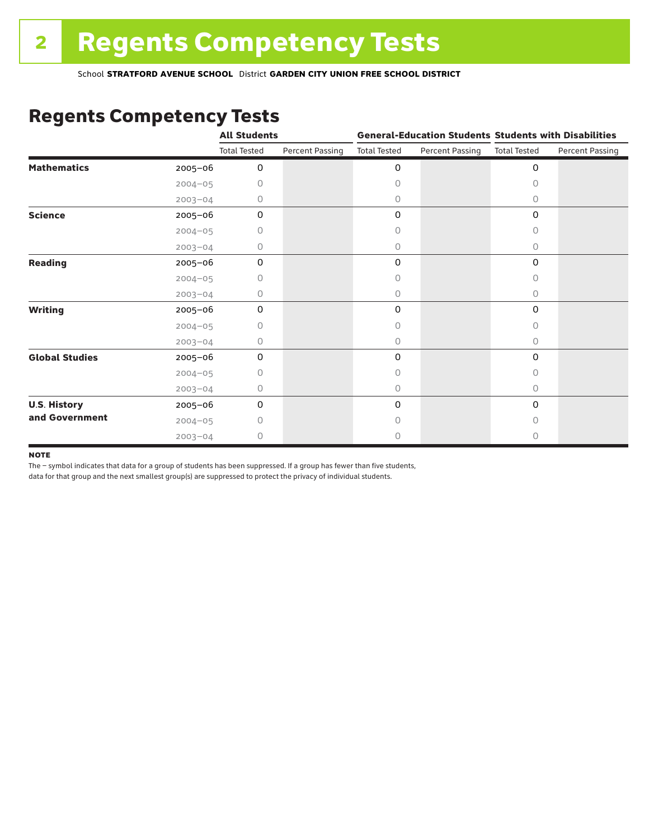## Regents Competency Tests

|                       |             | <b>All Students</b> |                        |                     |                 | <b>General-Education Students Students with Disabilities</b> |                        |  |
|-----------------------|-------------|---------------------|------------------------|---------------------|-----------------|--------------------------------------------------------------|------------------------|--|
|                       |             | <b>Total Tested</b> | <b>Percent Passing</b> | <b>Total Tested</b> | Percent Passing | <b>Total Tested</b>                                          | <b>Percent Passing</b> |  |
| <b>Mathematics</b>    | 2005-06     | 0                   |                        | 0                   |                 | $\mathbf 0$                                                  |                        |  |
|                       | $2004 - 05$ | 0                   |                        | 0                   |                 | $\Omega$                                                     |                        |  |
|                       | $2003 - 04$ | 0                   |                        | 0                   |                 | 0                                                            |                        |  |
| <b>Science</b>        | 2005-06     | 0                   |                        | 0                   |                 | $\mathbf 0$                                                  |                        |  |
|                       | $2004 - 05$ | 0                   |                        | 0                   |                 | 0                                                            |                        |  |
|                       | $2003 - 04$ | 0                   |                        | 0                   |                 | 0                                                            |                        |  |
| <b>Reading</b>        | 2005-06     | 0                   |                        | 0                   |                 | 0                                                            |                        |  |
|                       | $2004 - 05$ | Ω                   |                        | 0                   |                 | 0                                                            |                        |  |
|                       | $2003 - 04$ | 0                   |                        | 0                   |                 | 0                                                            |                        |  |
| <b>Writing</b>        | 2005-06     | $\Omega$            |                        | 0                   |                 | $\mathbf 0$                                                  |                        |  |
|                       | $2004 - 05$ | 0                   |                        | 0                   |                 | $\Omega$                                                     |                        |  |
|                       | $2003 - 04$ | 0                   |                        | 0                   |                 | $\circ$                                                      |                        |  |
| <b>Global Studies</b> | 2005-06     | $\mathbf 0$         |                        | 0                   |                 | $\mathbf 0$                                                  |                        |  |
|                       | $2004 - 05$ | 0                   |                        | 0                   |                 | 0                                                            |                        |  |
|                       | $2003 - 04$ | 0                   |                        | 0                   |                 | $\circ$                                                      |                        |  |
| <b>U.S. History</b>   | 2005-06     | 0                   |                        | 0                   |                 | 0                                                            |                        |  |
| and Government        | $2004 - 05$ | O                   |                        | O                   |                 | $\bigcap$                                                    |                        |  |
|                       | $2003 - 04$ | 0                   |                        | 0                   |                 | 0                                                            |                        |  |

#### **NOTE**

The – symbol indicates that data for a group of students has been suppressed. If a group has fewer than five students,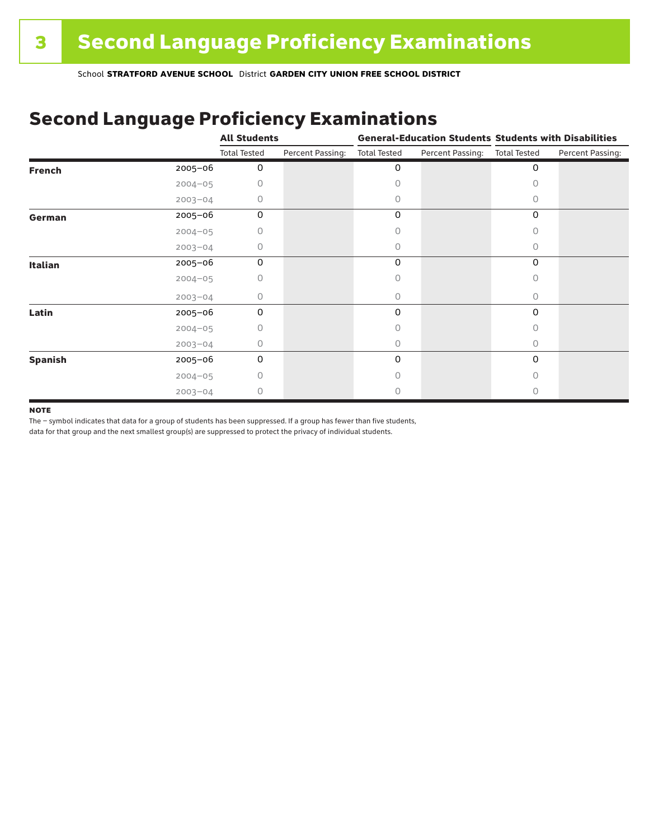## Second Language Proficiency Examinations

|                |             | <b>All Students</b> |                  | <b>General-Education Students Students with Disabilities</b> |                  |                     |                  |
|----------------|-------------|---------------------|------------------|--------------------------------------------------------------|------------------|---------------------|------------------|
|                |             | <b>Total Tested</b> | Percent Passing: | <b>Total Tested</b>                                          | Percent Passing: | <b>Total Tested</b> | Percent Passing: |
| <b>French</b>  | 2005-06     | 0                   |                  | 0                                                            |                  | 0                   |                  |
|                | $2004 - 05$ | 0                   |                  | Ω                                                            |                  |                     |                  |
|                | $2003 - 04$ | 0                   |                  | 0                                                            |                  | Ω                   |                  |
| German         | 2005-06     | 0                   |                  | 0                                                            |                  | 0                   |                  |
|                | $2004 - 05$ | 0                   |                  |                                                              |                  | 0                   |                  |
|                | $2003 - 04$ | 0                   |                  | 0                                                            |                  | 0                   |                  |
| Italian        | 2005-06     | 0                   |                  | 0                                                            |                  | 0                   |                  |
|                | $2004 - 05$ | U                   |                  | Ω                                                            |                  |                     |                  |
|                | $2003 - 04$ | 0                   |                  | 0                                                            |                  | 0                   |                  |
| Latin          | 2005-06     | 0                   |                  | 0                                                            |                  | 0                   |                  |
|                | $2004 - 05$ | 0                   |                  |                                                              |                  |                     |                  |
|                | $2003 - 04$ | 0                   |                  | 0                                                            |                  | 0                   |                  |
| <b>Spanish</b> | 2005-06     | 0                   |                  | 0                                                            |                  | 0                   |                  |
|                | $2004 - 05$ | 0                   |                  | Ω                                                            |                  | Ω                   |                  |
|                | $2003 - 04$ | 0                   |                  |                                                              |                  |                     |                  |

#### **NOTE**

The – symbol indicates that data for a group of students has been suppressed. If a group has fewer than five students,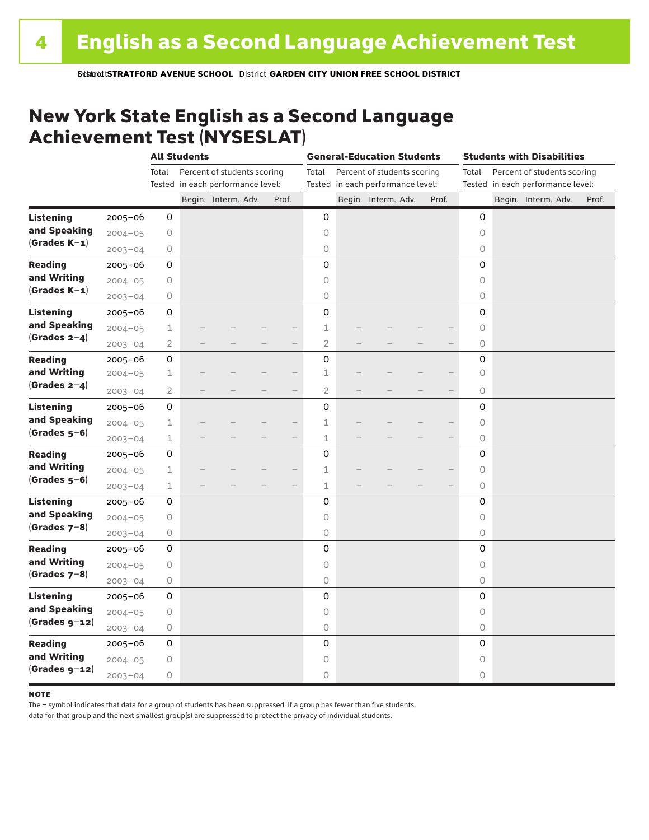### New York State English as a Second Language Achievement Test (NYSESLAT)

|                  |             |                | <b>All Students</b> |                                   |                          | <b>General-Education Students</b> |  |                                   |  | <b>Students with Disabilities</b> |         |  |                                   |  |       |
|------------------|-------------|----------------|---------------------|-----------------------------------|--------------------------|-----------------------------------|--|-----------------------------------|--|-----------------------------------|---------|--|-----------------------------------|--|-------|
|                  |             | Total          |                     | Percent of students scoring       |                          | Total                             |  | Percent of students scoring       |  |                                   | Total   |  | Percent of students scoring       |  |       |
|                  |             |                |                     | Tested in each performance level: |                          |                                   |  | Tested in each performance level: |  |                                   |         |  | Tested in each performance level: |  |       |
|                  |             |                |                     | Begin. Interm. Adv.               | Prof.                    |                                   |  | Begin. Interm. Adv.               |  | Prof.                             |         |  | Begin. Interm. Adv.               |  | Prof. |
| <b>Listening</b> | 2005-06     | 0              |                     |                                   |                          | 0                                 |  |                                   |  |                                   | 0       |  |                                   |  |       |
| and Speaking     | $2004 - 05$ | 0              |                     |                                   |                          | $\circ$                           |  |                                   |  |                                   | $\circ$ |  |                                   |  |       |
| $(Grades K-1)$   | $2003 - 04$ | 0              |                     |                                   |                          | $\circ$                           |  |                                   |  |                                   | 0       |  |                                   |  |       |
| <b>Reading</b>   | $2005 - 06$ | 0              |                     |                                   |                          | 0                                 |  |                                   |  |                                   | 0       |  |                                   |  |       |
| and Writing      | $2004 - 05$ | 0              |                     |                                   |                          | $\circ$                           |  |                                   |  |                                   | 0       |  |                                   |  |       |
| $(Grades K-1)$   | $2003 - 04$ | 0              |                     |                                   |                          | $\circ$                           |  |                                   |  |                                   | 0       |  |                                   |  |       |
| <b>Listening</b> | $2005 - 06$ | 0              |                     |                                   |                          | 0                                 |  |                                   |  |                                   | 0       |  |                                   |  |       |
| and Speaking     | $2004 - 05$ | $\mathbf 1$    |                     |                                   |                          | $\mathbf 1$                       |  |                                   |  |                                   | $\circ$ |  |                                   |  |       |
| (Grades $2-4$ )  | $2003 - 04$ | $\mathbf{2}$   |                     |                                   |                          | $\overline{c}$                    |  |                                   |  |                                   | 0       |  |                                   |  |       |
| <b>Reading</b>   | 2005-06     | 0              |                     |                                   |                          | 0                                 |  |                                   |  |                                   | 0       |  |                                   |  |       |
| and Writing      | $2004 - 05$ | $\mathbf 1$    |                     |                                   |                          | $\mathbf 1$                       |  |                                   |  |                                   | $\circ$ |  |                                   |  |       |
| (Grades $2-4$ )  | $2003 - 04$ | $\overline{2}$ |                     |                                   |                          | $\overline{2}$                    |  |                                   |  |                                   | 0       |  |                                   |  |       |
| <b>Listening</b> | $2005 - 06$ | 0              |                     |                                   |                          | 0                                 |  |                                   |  |                                   | 0       |  |                                   |  |       |
| and Speaking     | $2004 - 05$ | $\mathbf 1$    |                     |                                   |                          | $\mathbf 1$                       |  |                                   |  |                                   | 0       |  |                                   |  |       |
| $(Grades 5-6)$   | $2003 - 04$ | $\mathbf 1$    |                     |                                   | $\overline{\phantom{0}}$ | $\mathbf 1$                       |  |                                   |  |                                   | 0       |  |                                   |  |       |
| <b>Reading</b>   | 2005-06     | 0              |                     |                                   |                          | 0                                 |  |                                   |  |                                   | 0       |  |                                   |  |       |
| and Writing      | $2004 - 05$ | $\mathbf 1$    |                     |                                   |                          | $\mathbf 1$                       |  |                                   |  |                                   | $\circ$ |  |                                   |  |       |
| $(Grades 5-6)$   | $2003 - 04$ | $\mathbf 1$    |                     |                                   |                          | $\mathbf 1$                       |  |                                   |  |                                   | $\circ$ |  |                                   |  |       |
| <b>Listening</b> | 2005-06     | 0              |                     |                                   |                          | 0                                 |  |                                   |  |                                   | 0       |  |                                   |  |       |
| and Speaking     | $2004 - 05$ | $\mathsf O$    |                     |                                   |                          | 0                                 |  |                                   |  |                                   | 0       |  |                                   |  |       |
| (Grades $7-8$ )  | $2003 - 04$ | 0              |                     |                                   |                          | 0                                 |  |                                   |  |                                   | 0       |  |                                   |  |       |
| <b>Reading</b>   | $2005 - 06$ | 0              |                     |                                   |                          | 0                                 |  |                                   |  |                                   | 0       |  |                                   |  |       |
| and Writing      | $2004 - 05$ | 0              |                     |                                   |                          | $\bigcirc$                        |  |                                   |  |                                   | $\circ$ |  |                                   |  |       |
| (Grades $7-8$ )  | $2003 - 04$ | 0              |                     |                                   |                          | 0                                 |  |                                   |  |                                   | $\circ$ |  |                                   |  |       |
| <b>Listening</b> | $2005 - 06$ | 0              |                     |                                   |                          | 0                                 |  |                                   |  |                                   | 0       |  |                                   |  |       |
| and Speaking     | $2004 - 05$ | 0              |                     |                                   |                          | $\circ$                           |  |                                   |  |                                   | $\circ$ |  |                                   |  |       |
| $(Grades g-12)$  | $2003 - 04$ | 0              |                     |                                   |                          | $\bigcirc$                        |  |                                   |  |                                   | $\circ$ |  |                                   |  |       |
| <b>Reading</b>   | $2005 - 06$ | 0              |                     |                                   |                          | 0                                 |  |                                   |  |                                   | 0       |  |                                   |  |       |
| and Writing      | $2004 - 05$ | 0              |                     |                                   |                          | $\circ$                           |  |                                   |  |                                   | $\circ$ |  |                                   |  |       |
| $(Grades g-z)$   | $2003 - 04$ | 0              |                     |                                   |                          | 0                                 |  |                                   |  |                                   | 0       |  |                                   |  |       |

#### **NOTE**

The – symbol indicates that data for a group of students has been suppressed. If a group has fewer than five students,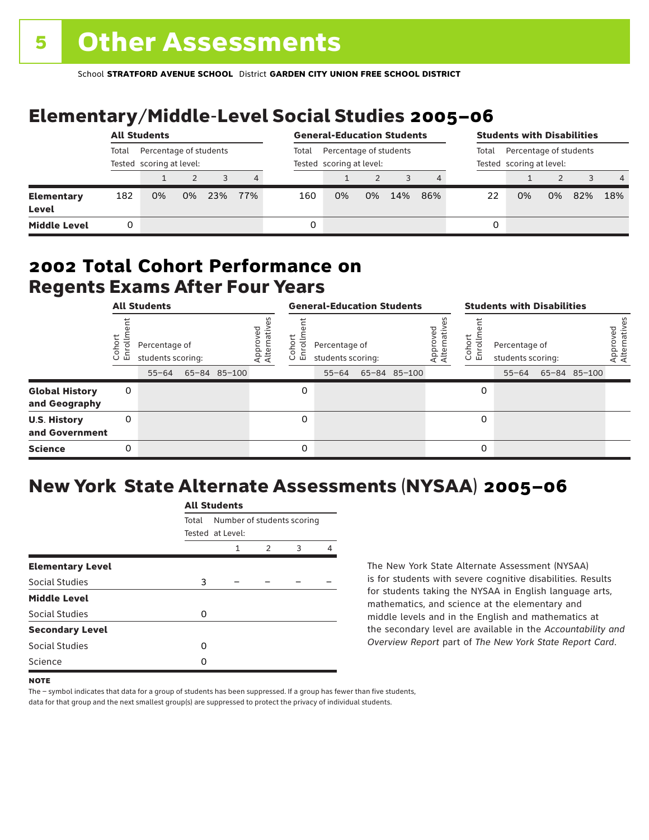# Elementary/Middle-Level Social Studies 2005–06

|                            | <b>All Students</b>                                         |    |    |     |       | <b>General-Education Students</b>                  |    |    |     | <b>Students with Disabilities</b>                           |    |    |    |     |                |
|----------------------------|-------------------------------------------------------------|----|----|-----|-------|----------------------------------------------------|----|----|-----|-------------------------------------------------------------|----|----|----|-----|----------------|
|                            | Percentage of students<br>Total<br>Tested scoring at level: |    |    |     | Total | Percentage of students<br>Tested scoring at level: |    |    |     | Percentage of students<br>Total<br>Tested scoring at level: |    |    |    |     |                |
|                            |                                                             |    |    |     | 4     |                                                    |    |    |     |                                                             |    |    |    |     | $\overline{4}$ |
| Elementary<br><b>Level</b> | 182                                                         | 0% | 0% | 23% | 77%   | 160                                                | 0% | 0% | 14% | 86%                                                         | 22 | 0% | 0% | 82% | 18%            |
| <b>Middle Level</b>        | 0                                                           |    |    |     |       | 0                                                  |    |    |     |                                                             | 0  |    |    |     |                |

### Regents Exams After Four Years 2002 **Total Cohort Performance on**

| <b>All Students</b>                    |                |                                                 |  |              | <b>General-Education Students</b> |                                    |                                                 |  |              | <b>Students with Disabilities</b> |                  |                                                 |  |              |                          |
|----------------------------------------|----------------|-------------------------------------------------|--|--------------|-----------------------------------|------------------------------------|-------------------------------------------------|--|--------------|-----------------------------------|------------------|-------------------------------------------------|--|--------------|--------------------------|
|                                        | oho<br>ō<br>ごこ | Percentage of<br>students scoring:<br>$55 - 64$ |  | 65-84 85-100 | Approved<br>Alternative           | <u>م</u><br>$\circ$<br>屲<br>$\cup$ | Percentage of<br>students scoring:<br>$55 - 64$ |  | 65-84 85-100 | Approved<br>Alternative           | Cohort<br>5<br>훕 | Percentage of<br>students scoring:<br>$55 - 64$ |  | 65-84 85-100 | Approved<br>Alternatives |
| <b>Global History</b><br>and Geography | 0              |                                                 |  |              |                                   | 0                                  |                                                 |  |              |                                   | 0                |                                                 |  |              |                          |
| <b>U.S. History</b><br>and Government  | 0              |                                                 |  |              |                                   | 0                                  |                                                 |  |              |                                   | 0                |                                                 |  |              |                          |
| <b>Science</b>                         | 0              |                                                 |  |              |                                   | $\Omega$                           |                                                 |  |              |                                   | 0                |                                                 |  |              |                          |

## New York State Alternate Assessments (NYSAA) 2005–06

|                         |       | All Students               |               |   |   |  |  |  |  |  |  |
|-------------------------|-------|----------------------------|---------------|---|---|--|--|--|--|--|--|
|                         | Total | Number of students scoring |               |   |   |  |  |  |  |  |  |
|                         |       | Tested at Level:           |               |   |   |  |  |  |  |  |  |
|                         |       | 1                          | $\mathcal{P}$ | 3 | Δ |  |  |  |  |  |  |
| <b>Elementary Level</b> |       |                            |               |   |   |  |  |  |  |  |  |
| Social Studies          | 3     |                            |               |   |   |  |  |  |  |  |  |
| <b>Middle Level</b>     |       |                            |               |   |   |  |  |  |  |  |  |
| <b>Social Studies</b>   | O     |                            |               |   |   |  |  |  |  |  |  |
| <b>Secondary Level</b>  |       |                            |               |   |   |  |  |  |  |  |  |
| Social Studies          | O     |                            |               |   |   |  |  |  |  |  |  |
| Science                 | n     |                            |               |   |   |  |  |  |  |  |  |
|                         |       |                            |               |   |   |  |  |  |  |  |  |

All Canada

The New York State Alternate Assessment (NYSAA) is for students with severe cognitive disabilities. Results for students taking the NYSAA in English language arts, mathematics, and science at the elementary and middle levels and in the English and mathematics at the secondary level are available in the *Accountability and Overview Report* part of *The New York State Report Card*.

The – symbol indicates that data for a group of students has been suppressed. If a group has fewer than five students, data for that group and the next smallest group(s) are suppressed to protect the privacy of individual students.

**NOTE**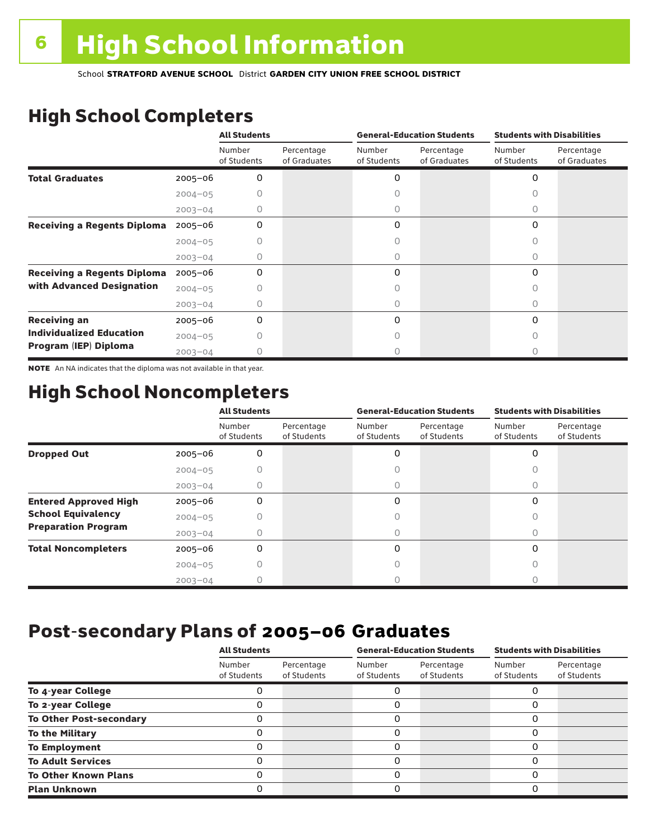# High School Completers

|                                    |             | <b>All Students</b>   |                            |                       | <b>General-Education Students</b> | <b>Students with Disabilities</b> |                            |  |
|------------------------------------|-------------|-----------------------|----------------------------|-----------------------|-----------------------------------|-----------------------------------|----------------------------|--|
|                                    |             | Number<br>of Students | Percentage<br>of Graduates | Number<br>of Students | Percentage<br>of Graduates        | Number<br>of Students             | Percentage<br>of Graduates |  |
| <b>Total Graduates</b>             | $2005 - 06$ | 0                     |                            | 0                     |                                   | 0                                 |                            |  |
|                                    | $2004 - 05$ |                       |                            |                       |                                   |                                   |                            |  |
|                                    | $2003 - 04$ | 0                     |                            | 0                     |                                   | 0                                 |                            |  |
| <b>Receiving a Regents Diploma</b> | $2005 - 06$ | 0                     |                            | 0                     |                                   | 0                                 |                            |  |
|                                    | $2004 - 05$ |                       |                            |                       |                                   | n                                 |                            |  |
|                                    | $2003 - 04$ | O                     |                            | O                     |                                   | Ω                                 |                            |  |
| <b>Receiving a Regents Diploma</b> | $2005 - 06$ | 0                     |                            | 0                     |                                   | $\Omega$                          |                            |  |
| with Advanced Designation          | $2004 - 05$ |                       |                            |                       |                                   |                                   |                            |  |
|                                    | $2003 - 04$ |                       |                            |                       |                                   | U                                 |                            |  |
| <b>Receiving an</b>                | $2005 - 06$ | 0                     |                            | 0                     |                                   | $\Omega$                          |                            |  |
| <b>Individualized Education</b>    | $2004 - 05$ |                       |                            |                       |                                   |                                   |                            |  |
| Program (IEP) Diploma              | $2003 - 04$ |                       |                            |                       |                                   |                                   |                            |  |

NOTE An NA indicates that the diploma was not available in that year.

### High School Noncompleters

|                              |             | <b>All Students</b>   |                           |                       | <b>General-Education Students</b> | <b>Students with Disabilities</b> |                           |  |
|------------------------------|-------------|-----------------------|---------------------------|-----------------------|-----------------------------------|-----------------------------------|---------------------------|--|
|                              |             | Number<br>of Students | Percentage<br>of Students | Number<br>of Students | Percentage<br>of Students         | Number<br>of Students             | Percentage<br>of Students |  |
| <b>Dropped Out</b>           | $2005 - 06$ | 0                     |                           | 0                     |                                   | $\Omega$                          |                           |  |
|                              | $2004 - 05$ |                       |                           |                       |                                   |                                   |                           |  |
|                              | $2003 - 04$ |                       |                           |                       |                                   |                                   |                           |  |
| <b>Entered Approved High</b> | $2005 - 06$ | 0                     |                           | 0                     |                                   | $\Omega$                          |                           |  |
| <b>School Equivalency</b>    | $2004 - 05$ |                       |                           | U                     |                                   | Ω                                 |                           |  |
| <b>Preparation Program</b>   | $2003 - 04$ | Ω                     |                           | 0                     |                                   | 0                                 |                           |  |
| <b>Total Noncompleters</b>   | $2005 - 06$ | 0                     |                           | 0                     |                                   | $\Omega$                          |                           |  |
|                              | $2004 - 05$ | Ω                     |                           | Ω                     |                                   | 0                                 |                           |  |
|                              | $2003 - 04$ |                       |                           |                       |                                   |                                   |                           |  |

### Post-secondary Plans of 2005–06 **Graduates**

|                                | <b>All Students</b>   |                           |                       | <b>General-Education Students</b> | <b>Students with Disabilities</b> |                           |  |
|--------------------------------|-----------------------|---------------------------|-----------------------|-----------------------------------|-----------------------------------|---------------------------|--|
|                                | Number<br>of Students | Percentage<br>of Students | Number<br>of Students | Percentage<br>of Students         | Number<br>of Students             | Percentage<br>of Students |  |
| To 4-year College              |                       |                           |                       |                                   |                                   |                           |  |
| To 2-year College              |                       |                           | 0                     |                                   | 0                                 |                           |  |
| <b>To Other Post-secondary</b> |                       |                           | ი                     |                                   | 0                                 |                           |  |
| <b>To the Military</b>         |                       |                           | ი                     |                                   | 0                                 |                           |  |
| <b>To Employment</b>           |                       |                           | 0                     |                                   | 0                                 |                           |  |
| <b>To Adult Services</b>       |                       |                           |                       |                                   | O                                 |                           |  |
| <b>To Other Known Plans</b>    |                       |                           | 0                     |                                   | 0                                 |                           |  |
| <b>Plan Unknown</b>            |                       |                           |                       |                                   | 0                                 |                           |  |